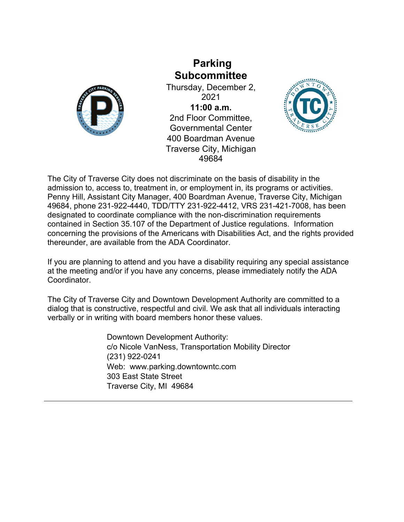

## **Parking Subcommittee**

Thursday, December 2, 2021 **11:00 a.m.** 2nd Floor Committee, Governmental Center 400 Boardman Avenue Traverse City, Michigan 49684



The City of Traverse City does not discriminate on the basis of disability in the admission to, access to, treatment in, or employment in, its programs or activities. Penny Hill, Assistant City Manager, 400 Boardman Avenue, Traverse City, Michigan 49684, phone 231-922-4440, TDD/TTY 231-922-4412, VRS 231-421-7008, has been designated to coordinate compliance with the non-discrimination requirements contained in Section 35.107 of the Department of Justice regulations. Information concerning the provisions of the Americans with Disabilities Act, and the rights provided thereunder, are available from the ADA Coordinator.

If you are planning to attend and you have a disability requiring any special assistance at the meeting and/or if you have any concerns, please immediately notify the ADA Coordinator.

The City of Traverse City and Downtown Development Authority are committed to a dialog that is constructive, respectful and civil. We ask that all individuals interacting verbally or in writing with board members honor these values.

> Downtown Development Authority: c/o Nicole VanNess, Transportation Mobility Director (231) 922-0241 Web: www.parking.downtowntc.com 303 East State Street Traverse City, MI 49684